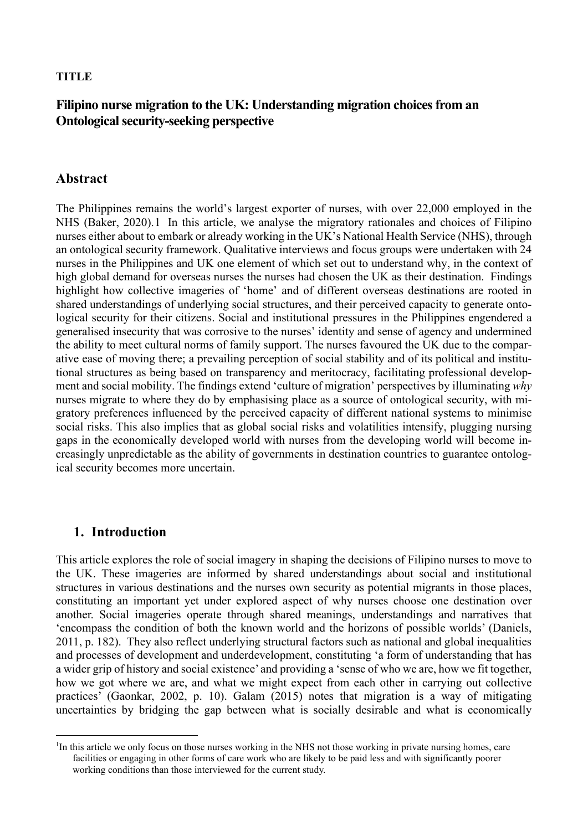#### **TITLE**

# **Filipino nurse migration to the UK: Understanding migration choices from an Ontological security-seeking perspective**

## **Abstract**

The Philippines remains the world's largest exporter of nurses, with over 22,000 employed in the NHS (Baker, 2020).[1](#page-0-0) In this article, we analyse the migratory rationales and choices of Filipino nurses either about to embark or already working in the UK's National Health Service (NHS), through an ontological security framework. Qualitative interviews and focus groups were undertaken with 24 nurses in the Philippines and UK one element of which set out to understand why, in the context of high global demand for overseas nurses the nurses had chosen the UK as their destination. Findings highlight how collective imageries of 'home' and of different overseas destinations are rooted in shared understandings of underlying social structures, and their perceived capacity to generate ontological security for their citizens. Social and institutional pressures in the Philippines engendered a generalised insecurity that was corrosive to the nurses' identity and sense of agency and undermined the ability to meet cultural norms of family support. The nurses favoured the UK due to the comparative ease of moving there; a prevailing perception of social stability and of its political and institutional structures as being based on transparency and meritocracy, facilitating professional development and social mobility. The findings extend 'culture of migration' perspectives by illuminating *why* nurses migrate to where they do by emphasising place as a source of ontological security, with migratory preferences influenced by the perceived capacity of different national systems to minimise social risks. This also implies that as global social risks and volatilities intensify, plugging nursing gaps in the economically developed world with nurses from the developing world will become increasingly unpredictable as the ability of governments in destination countries to guarantee ontological security becomes more uncertain.

# **1. Introduction**

This article explores the role of social imagery in shaping the decisions of Filipino nurses to move to the UK. These imageries are informed by shared understandings about social and institutional structures in various destinations and the nurses own security as potential migrants in those places, constituting an important yet under explored aspect of why nurses choose one destination over another. Social imageries operate through shared meanings, understandings and narratives that 'encompass the condition of both the known world and the horizons of possible worlds' (Daniels, 2011, p. 182). They also reflect underlying structural factors such as national and global inequalities and processes of development and underdevelopment, constituting 'a form of understanding that has a wider grip of history and social existence' and providing a 'sense of who we are, how we fit together, how we got where we are, and what we might expect from each other in carrying out collective practices' (Gaonkar, 2002, p. 10). Galam (2015) notes that migration is a way of mitigating uncertainties by bridging the gap between what is socially desirable and what is economically

<span id="page-0-0"></span><sup>&</sup>lt;sup>1</sup>In this article we only focus on those nurses working in the NHS not those working in private nursing homes, care facilities or engaging in other forms of care work who are likely to be paid less and with significantly poorer working conditions than those interviewed for the current study.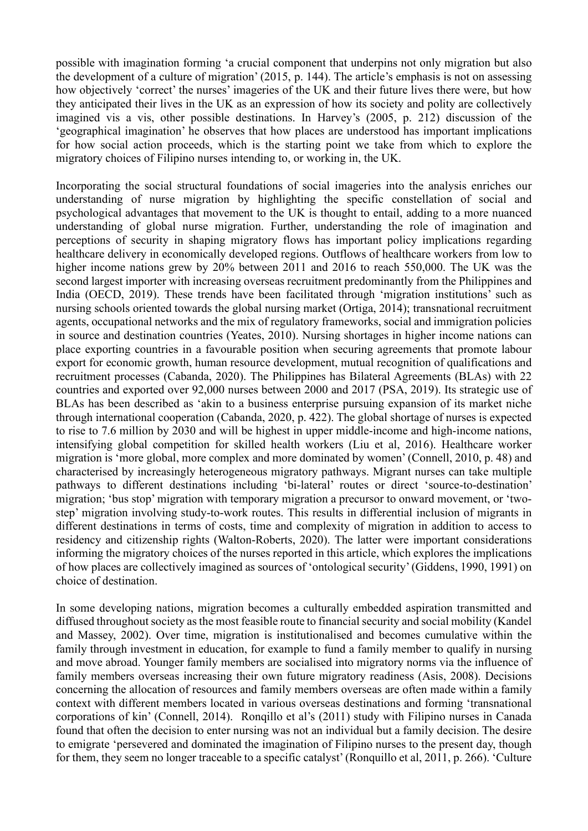possible with imagination forming 'a crucial component that underpins not only migration but also the development of a culture of migration' (2015, p. 144). The article's emphasis is not on assessing how objectively 'correct' the nurses' imageries of the UK and their future lives there were, but how they anticipated their lives in the UK as an expression of how its society and polity are collectively imagined vis a vis, other possible destinations. In Harvey's (2005, p. 212) discussion of the 'geographical imagination' he observes that how places are understood has important implications for how social action proceeds, which is the starting point we take from which to explore the migratory choices of Filipino nurses intending to, or working in, the UK.

Incorporating the social structural foundations of social imageries into the analysis enriches our understanding of nurse migration by highlighting the specific constellation of social and psychological advantages that movement to the UK is thought to entail, adding to a more nuanced understanding of global nurse migration. Further, understanding the role of imagination and perceptions of security in shaping migratory flows has important policy implications regarding healthcare delivery in economically developed regions. Outflows of healthcare workers from low to higher income nations grew by 20% between 2011 and 2016 to reach 550,000. The UK was the second largest importer with increasing overseas recruitment predominantly from the Philippines and India (OECD, 2019). These trends have been facilitated through 'migration institutions' such as nursing schools oriented towards the global nursing market (Ortiga, 2014); transnational recruitment agents, occupational networks and the mix of regulatory frameworks, social and immigration policies in source and destination countries (Yeates, 2010). Nursing shortages in higher income nations can place exporting countries in a favourable position when securing agreements that promote labour export for economic growth, human resource development, mutual recognition of qualifications and recruitment processes (Cabanda, 2020). The Philippines has Bilateral Agreements (BLAs) with 22 countries and exported over 92,000 nurses between 2000 and 2017 (PSA, 2019). Its strategic use of BLAs has been described as 'akin to a business enterprise pursuing expansion of its market niche through international cooperation (Cabanda, 2020, p. 422). The global shortage of nurses is expected to rise to 7.6 million by 2030 and will be highest in upper middle-income and high-income nations, intensifying global competition for skilled health workers (Liu et al, 2016). Healthcare worker migration is 'more global, more complex and more dominated by women' (Connell, 2010, p. 48) and characterised by increasingly heterogeneous migratory pathways. Migrant nurses can take multiple pathways to different destinations including 'bi-lateral' routes or direct 'source-to-destination' migration; 'bus stop' migration with temporary migration a precursor to onward movement, or 'twostep' migration involving study-to-work routes. This results in differential inclusion of migrants in different destinations in terms of costs, time and complexity of migration in addition to access to residency and citizenship rights (Walton-Roberts, 2020). The latter were important considerations informing the migratory choices of the nurses reported in this article, which explores the implications of how places are collectively imagined as sources of 'ontological security' (Giddens, 1990, 1991) on choice of destination.

In some developing nations, migration becomes a culturally embedded aspiration transmitted and diffused throughout society as the most feasible route to financial security and social mobility (Kandel and Massey, 2002). Over time, migration is institutionalised and becomes cumulative within the family through investment in education, for example to fund a family member to qualify in nursing and move abroad. Younger family members are socialised into migratory norms via the influence of family members overseas increasing their own future migratory readiness (Asis, 2008). Decisions concerning the allocation of resources and family members overseas are often made within a family context with different members located in various overseas destinations and forming 'transnational corporations of kin' (Connell, 2014). Ronqillo et al's (2011) study with Filipino nurses in Canada found that often the decision to enter nursing was not an individual but a family decision. The desire to emigrate 'persevered and dominated the imagination of Filipino nurses to the present day, though for them, they seem no longer traceable to a specific catalyst' (Ronquillo et al, 2011, p. 266). 'Culture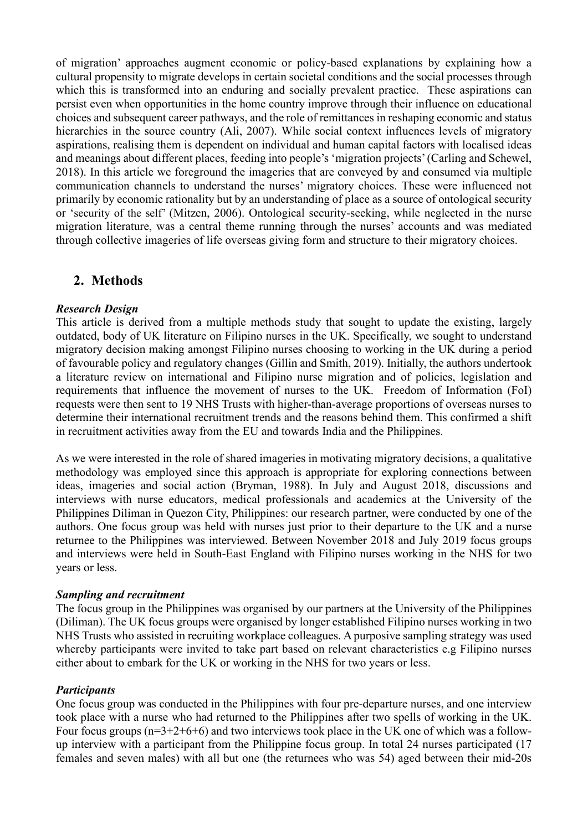of migration' approaches augment economic or policy-based explanations by explaining how a cultural propensity to migrate develops in certain societal conditions and the social processes through which this is transformed into an enduring and socially prevalent practice. These aspirations can persist even when opportunities in the home country improve through their influence on educational choices and subsequent career pathways, and the role of remittances in reshaping economic and status hierarchies in the source country (Ali, 2007). While social context influences levels of migratory aspirations, realising them is dependent on individual and human capital factors with localised ideas and meanings about different places, feeding into people's 'migration projects' (Carling and Schewel, 2018). In this article we foreground the imageries that are conveyed by and consumed via multiple communication channels to understand the nurses' migratory choices. These were influenced not primarily by economic rationality but by an understanding of place as a source of ontological security or 'security of the self' (Mitzen, 2006). Ontological security-seeking, while neglected in the nurse migration literature, was a central theme running through the nurses' accounts and was mediated through collective imageries of life overseas giving form and structure to their migratory choices.

# **2. Methods**

#### *Research Design*

This article is derived from a multiple methods study that sought to update the existing, largely outdated, body of UK literature on Filipino nurses in the UK. Specifically, we sought to understand migratory decision making amongst Filipino nurses choosing to working in the UK during a period of favourable policy and regulatory changes (Gillin and Smith, 2019). Initially, the authors undertook a literature review on international and Filipino nurse migration and of policies, legislation and requirements that influence the movement of nurses to the UK. Freedom of Information (FoI) requests were then sent to 19 NHS Trusts with higher-than-average proportions of overseas nurses to determine their international recruitment trends and the reasons behind them. This confirmed a shift in recruitment activities away from the EU and towards India and the Philippines.

As we were interested in the role of shared imageries in motivating migratory decisions, a qualitative methodology was employed since this approach is appropriate for exploring connections between ideas, imageries and social action (Bryman, 1988). In July and August 2018, discussions and interviews with nurse educators, medical professionals and academics at the University of the Philippines Diliman in Quezon City, Philippines: our research partner, were conducted by one of the authors. One focus group was held with nurses just prior to their departure to the UK and a nurse returnee to the Philippines was interviewed. Between November 2018 and July 2019 focus groups and interviews were held in South-East England with Filipino nurses working in the NHS for two years or less.

#### *Sampling and recruitment*

The focus group in the Philippines was organised by our partners at the University of the Philippines (Diliman). The UK focus groups were organised by longer established Filipino nurses working in two NHS Trusts who assisted in recruiting workplace colleagues. A purposive sampling strategy was used whereby participants were invited to take part based on relevant characteristics e.g Filipino nurses either about to embark for the UK or working in the NHS for two years or less.

#### *Participants*

One focus group was conducted in the Philippines with four pre-departure nurses, and one interview took place with a nurse who had returned to the Philippines after two spells of working in the UK. Four focus groups  $(n=3+2+6+6)$  and two interviews took place in the UK one of which was a followup interview with a participant from the Philippine focus group. In total 24 nurses participated (17 females and seven males) with all but one (the returnees who was 54) aged between their mid-20s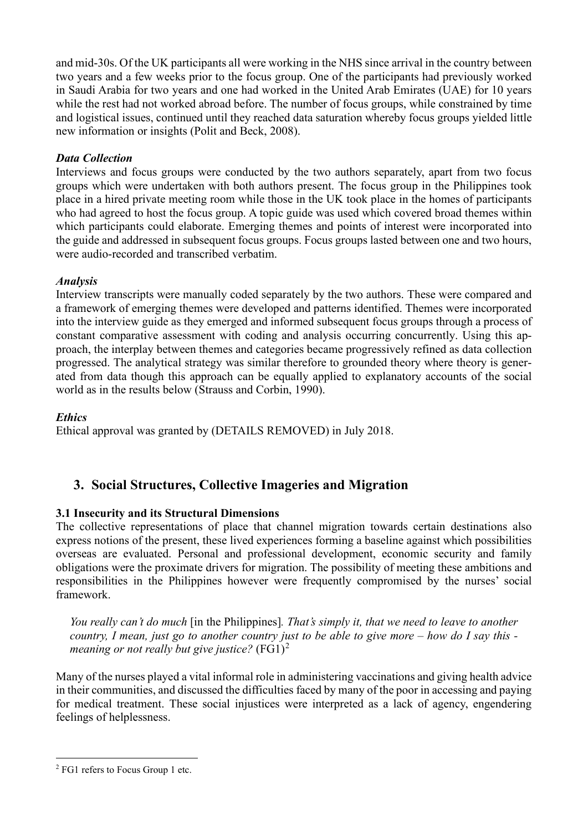and mid-30s. Of the UK participants all were working in the NHS since arrival in the country between two years and a few weeks prior to the focus group. One of the participants had previously worked in Saudi Arabia for two years and one had worked in the United Arab Emirates (UAE) for 10 years while the rest had not worked abroad before. The number of focus groups, while constrained by time and logistical issues, continued until they reached data saturation whereby focus groups yielded little new information or insights (Polit and Beck, 2008).

## *Data Collection*

Interviews and focus groups were conducted by the two authors separately, apart from two focus groups which were undertaken with both authors present. The focus group in the Philippines took place in a hired private meeting room while those in the UK took place in the homes of participants who had agreed to host the focus group. A topic guide was used which covered broad themes within which participants could elaborate. Emerging themes and points of interest were incorporated into the guide and addressed in subsequent focus groups. Focus groups lasted between one and two hours, were audio-recorded and transcribed verbatim.

## *Analysis*

Interview transcripts were manually coded separately by the two authors. These were compared and a framework of emerging themes were developed and patterns identified. Themes were incorporated into the interview guide as they emerged and informed subsequent focus groups through a process of constant comparative assessment with coding and analysis occurring concurrently. Using this approach, the interplay between themes and categories became progressively refined as data collection progressed. The analytical strategy was similar therefore to grounded theory where theory is generated from data though this approach can be equally applied to explanatory accounts of the social world as in the results below (Strauss and Corbin, 1990).

#### *Ethics*

Ethical approval was granted by (DETAILS REMOVED) in July 2018.

# **3. Social Structures, Collective Imageries and Migration**

## **3.1 Insecurity and its Structural Dimensions**

The collective representations of place that channel migration towards certain destinations also express notions of the present, these lived experiences forming a baseline against which possibilities overseas are evaluated. Personal and professional development, economic security and family obligations were the proximate drivers for migration. The possibility of meeting these ambitions and responsibilities in the Philippines however were frequently compromised by the nurses' social framework.

*You really can't do much* [in the Philippines]*. That's simply it, that we need to leave to another country, I mean, just go to another country just to be able to give more – how do I say this meaning or not really but give justice?* (FG1)[2](#page-3-0)

Many of the nurses played a vital informal role in administering vaccinations and giving health advice in their communities, and discussed the difficulties faced by many of the poor in accessing and paying for medical treatment. These social injustices were interpreted as a lack of agency, engendering feelings of helplessness.

<span id="page-3-0"></span><sup>2</sup> FG1 refers to Focus Group 1 etc.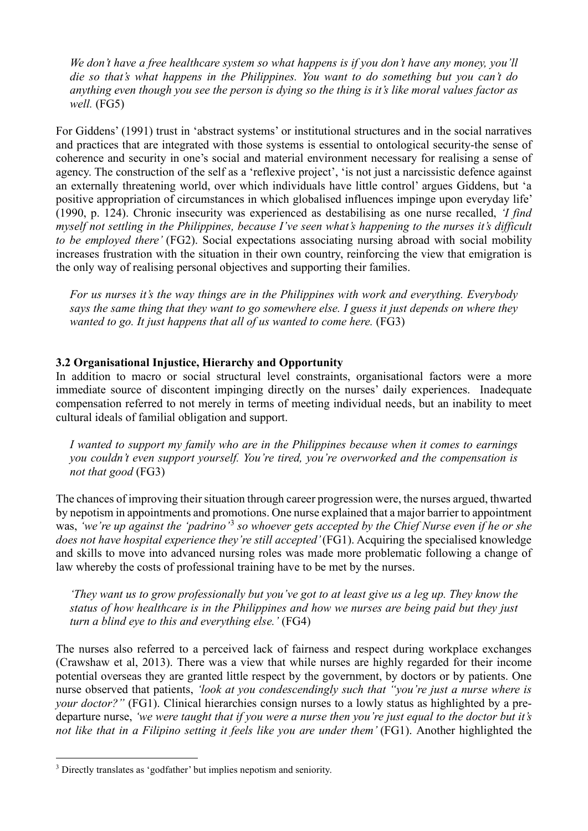*We don't have a free healthcare system so what happens is if you don't have any money, you'll die so that's what happens in the Philippines. You want to do something but you can't do anything even though you see the person is dying so the thing is it's like moral values factor as well.* (FG5)

For Giddens' (1991) trust in 'abstract systems' or institutional structures and in the social narratives and practices that are integrated with those systems is essential to ontological security-the sense of coherence and security in one's social and material environment necessary for realising a sense of agency. The construction of the self as a 'reflexive project', 'is not just a narcissistic defence against an externally threatening world, over which individuals have little control' argues Giddens, but 'a positive appropriation of circumstances in which globalised influences impinge upon everyday life' (1990, p. 124). Chronic insecurity was experienced as destabilising as one nurse recalled, *'I find myself not settling in the Philippines, because I've seen what's happening to the nurses it's difficult to be employed there'* (FG2). Social expectations associating nursing abroad with social mobility increases frustration with the situation in their own country, reinforcing the view that emigration is the only way of realising personal objectives and supporting their families.

*For us nurses it's the way things are in the Philippines with work and everything. Everybody says the same thing that they want to go somewhere else. I guess it just depends on where they wanted to go. It just happens that all of us wanted to come here.* (FG3)

## **3.2 Organisational Injustice, Hierarchy and Opportunity**

In addition to macro or social structural level constraints, organisational factors were a more immediate source of discontent impinging directly on the nurses' daily experiences. Inadequate compensation referred to not merely in terms of meeting individual needs, but an inability to meet cultural ideals of familial obligation and support.

*I wanted to support my family who are in the Philippines because when it comes to earnings you couldn't even support yourself. You're tired, you're overworked and the compensation is not that good* (FG3)

The chances of improving their situation through career progression were, the nurses argued, thwarted by nepotism in appointments and promotions. One nurse explained that a major barrier to appointment was, *'we're up against the 'padrino'*[3](#page-4-0) *so whoever gets accepted by the Chief Nurse even if he or she*  does not have hospital experience they're still accepted' (FG1). Acquiring the specialised knowledge and skills to move into advanced nursing roles was made more problematic following a change of law whereby the costs of professional training have to be met by the nurses.

*'They want us to grow professionally but you've got to at least give us a leg up. They know the status of how healthcare is in the Philippines and how we nurses are being paid but they just turn a blind eye to this and everything else.'* (FG4)

The nurses also referred to a perceived lack of fairness and respect during workplace exchanges (Crawshaw et al, 2013). There was a view that while nurses are highly regarded for their income potential overseas they are granted little respect by the government, by doctors or by patients. One nurse observed that patients, *'look at you condescendingly such that "you're just a nurse where is your doctor?"* (FG1). Clinical hierarchies consign nurses to a lowly status as highlighted by a predeparture nurse, *'we were taught that if you were a nurse then you're just equal to the doctor but it's not like that in a Filipino setting it feels like you are under them'* (FG1). Another highlighted the

<span id="page-4-0"></span><sup>&</sup>lt;sup>3</sup> Directly translates as 'godfather' but implies nepotism and seniority.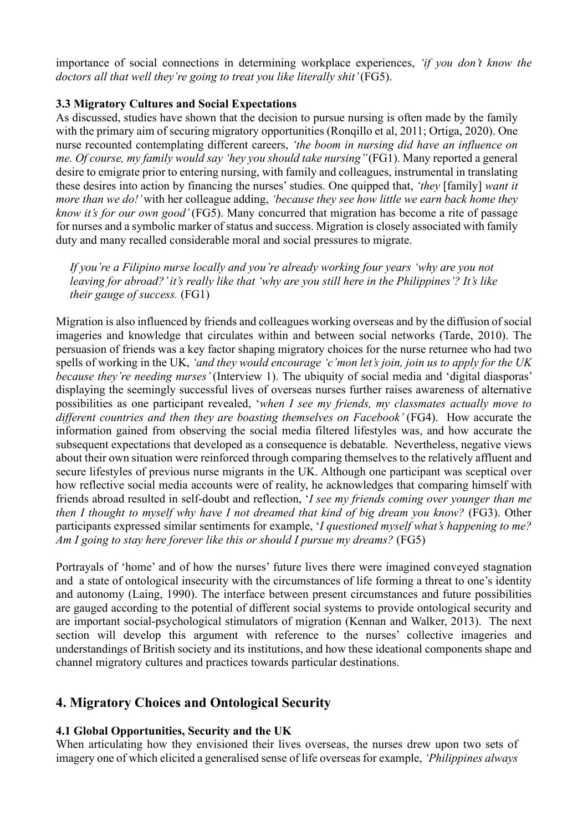importance of social connections in determining workplace experiences, *'if you don't know the doctors all that well they're going to treat you like literally shit'* (FG5).

## **3.3 Migratory Cultures and Social Expectations**

As discussed, studies have shown that the decision to pursue nursing is often made by the family with the primary aim of securing migratory opportunities (Ronqillo et al, 2011; Ortiga, 2020). One nurse recounted contemplating different careers, *'the boom in nursing did have an influence on me. Of course, my family would say 'hey you should take nursing''* (FG1). Many reported a general desire to emigrate prior to entering nursing, with family and colleagues, instrumental in translating these desires into action by financing the nurses' studies. One quipped that, *'they* [family] *want it more than we do!'* with her colleague adding, *'because they see how little we earn back home they know it's for our own good'* (FG5). Many concurred that migration has become a rite of passage for nurses and a symbolic marker of status and success. Migration is closely associated with family duty and many recalled considerable moral and social pressures to migrate.

*If you're a Filipino nurse locally and you're already working four years 'why are you not leaving for abroad?' it's really like that 'why are you still here in the Philippines'? It's like their gauge of success.* (FG1)

Migration is also influenced by friends and colleagues working overseas and by the diffusion of social imageries and knowledge that circulates within and between social networks (Tarde, 2010). The persuasion of friends was a key factor shaping migratory choices for the nurse returnee who had two spells of working in the UK, *'and they would encourage 'c'mon let's join, join us to apply for the UK because they're needing nurses'* (Interview 1). The ubiquity of social media and 'digital diasporas' displaying the seemingly successful lives of overseas nurses further raises awareness of alternative possibilities as one participant revealed, '*when I see my friends, my classmates actually move to*  different countries and then they are boasting themselves on Facebook' (FG4). How accurate the information gained from observing the social media filtered lifestyles was, and how accurate the subsequent expectations that developed as a consequence is debatable. Nevertheless, negative views about their own situation were reinforced through comparing themselves to the relatively affluent and secure lifestyles of previous nurse migrants in the UK. Although one participant was sceptical over how reflective social media accounts were of reality, he acknowledges that comparing himself with friends abroad resulted in self-doubt and reflection, '*I see my friends coming over younger than me then I thought to myself why have I not dreamed that kind of big dream you know?* (FG3). Other participants expressed similar sentiments for example, '*I questioned myself what's happening to me? Am I going to stay here forever like this or should I pursue my dreams?* (FG5)

Portrayals of 'home' and of how the nurses' future lives there were imagined conveyed stagnation and a state of ontological insecurity with the circumstances of life forming a threat to one's identity and autonomy (Laing, 1990). The interface between present circumstances and future possibilities are gauged according to the potential of different social systems to provide ontological security and are important social-psychological stimulators of migration (Kennan and Walker, 2013). The next section will develop this argument with reference to the nurses' collective imageries and understandings of British society and its institutions, and how these ideational components shape and channel migratory cultures and practices towards particular destinations.

# **4. Migratory Choices and Ontological Security**

## **4.1 Global Opportunities, Security and the UK**

When articulating how they envisioned their lives overseas, the nurses drew upon two sets of imagery one of which elicited a generalised sense of life overseas for example, *'Philippines always*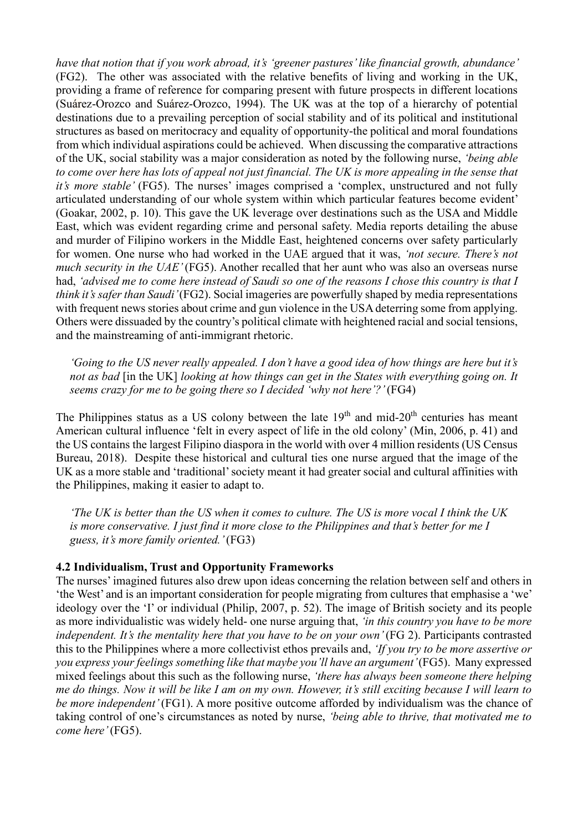*have that notion that if you work abroad, it's 'greener pastures' like financial growth, abundance'*  (FG2). The other was associated with the relative benefits of living and working in the UK, providing a frame of reference for comparing present with future prospects in different locations (Suárez-Orozco and Suárez-Orozco, 1994). The UK was at the top of a hierarchy of potential destinations due to a prevailing perception of social stability and of its political and institutional structures as based on meritocracy and equality of opportunity-the political and moral foundations from which individual aspirations could be achieved. When discussing the comparative attractions of the UK, social stability was a major consideration as noted by the following nurse, *'being able to come over here has lots of appeal not just financial. The UK is more appealing in the sense that it's more stable'* (FG5). The nurses' images comprised a 'complex, unstructured and not fully articulated understanding of our whole system within which particular features become evident' (Goakar, 2002, p. 10). This gave the UK leverage over destinations such as the USA and Middle East, which was evident regarding crime and personal safety. Media reports detailing the abuse and murder of Filipino workers in the Middle East, heightened concerns over safety particularly for women. One nurse who had worked in the UAE argued that it was, *'not secure. There's not much security in the UAE'* (FG5). Another recalled that her aunt who was also an overseas nurse had, *'advised me to come here instead of Saudi so one of the reasons I chose this country is that I think it's safer than Saudi'* (FG2). Social imageries are powerfully shaped by media representations with frequent news stories about crime and gun violence in the USA deterring some from applying. Others were dissuaded by the country's political climate with heightened racial and social tensions, and the mainstreaming of anti-immigrant rhetoric.

*'Going to the US never really appealed. I don't have a good idea of how things are here but it's not as bad* [in the UK] *looking at how things can get in the States with everything going on. It seems crazy for me to be going there so I decided 'why not here'?'* (FG4)

The Philippines status as a US colony between the late  $19<sup>th</sup>$  and mid- $20<sup>th</sup>$  centuries has meant American cultural influence 'felt in every aspect of life in the old colony' (Min, 2006, p. 41) and the US contains the largest Filipino diaspora in the world with over 4 million residents (US Census Bureau, 2018). Despite these historical and cultural ties one nurse argued that the image of the UK as a more stable and 'traditional' society meant it had greater social and cultural affinities with the Philippines, making it easier to adapt to.

*'The UK is better than the US when it comes to culture. The US is more vocal I think the UK is more conservative. I just find it more close to the Philippines and that's better for me I guess, it's more family oriented.'* (FG3)

#### **4.2 Individualism, Trust and Opportunity Frameworks**

The nurses' imagined futures also drew upon ideas concerning the relation between self and others in 'the West' and is an important consideration for people migrating from cultures that emphasise a 'we' ideology over the 'I' or individual (Philip, 2007, p. 52). The image of British society and its people as more individualistic was widely held- one nurse arguing that, *'in this country you have to be more independent. It's the mentality here that you have to be on your own'* (FG 2). Participants contrasted this to the Philippines where a more collectivist ethos prevails and, *'If you try to be more assertive or you express your feelings something like that maybe you'll have an argument'* (FG5). Many expressed mixed feelings about this such as the following nurse, *'there has always been someone there helping me do things. Now it will be like I am on my own. However, it's still exciting because I will learn to be more independent'* (FG1). A more positive outcome afforded by individualism was the chance of taking control of one's circumstances as noted by nurse, *'being able to thrive, that motivated me to come here'* (FG5).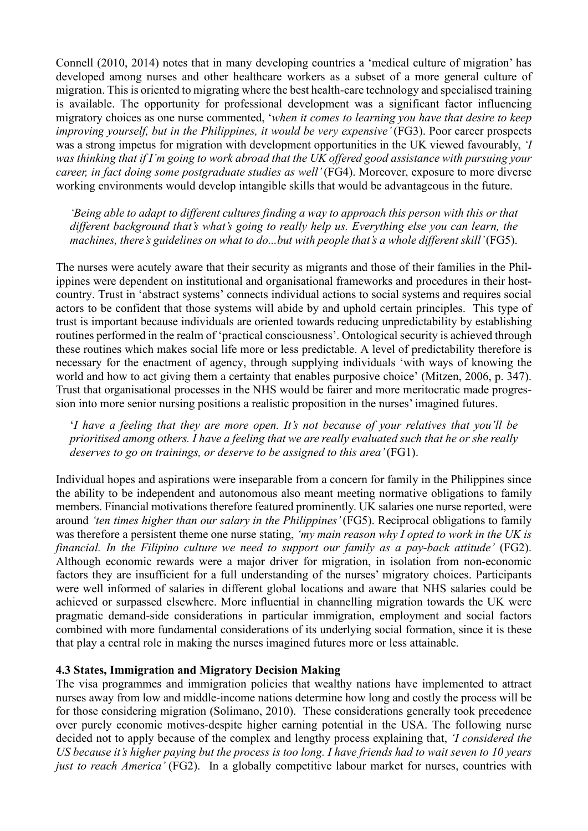Connell (2010, 2014) notes that in many developing countries a 'medical culture of migration' has developed among nurses and other healthcare workers as a subset of a more general culture of migration. This is oriented to migrating where the best health-care technology and specialised training is available. The opportunity for professional development was a significant factor influencing migratory choices as one nurse commented, '*when it comes to learning you have that desire to keep improving yourself, but in the Philippines, it would be very expensive'* (FG3). Poor career prospects was a strong impetus for migration with development opportunities in the UK viewed favourably, *'I was thinking that if I'm going to work abroad that the UK offered good assistance with pursuing your career, in fact doing some postgraduate studies as well'* (FG4). Moreover, exposure to more diverse working environments would develop intangible skills that would be advantageous in the future.

*'Being able to adapt to different cultures finding a way to approach this person with this or that different background that's what's going to really help us. Everything else you can learn, the machines, there's guidelines on what to do...but with people that's a whole different skill'* (FG5).

The nurses were acutely aware that their security as migrants and those of their families in the Philippines were dependent on institutional and organisational frameworks and procedures in their hostcountry. Trust in 'abstract systems' connects individual actions to social systems and requires social actors to be confident that those systems will abide by and uphold certain principles. This type of trust is important because individuals are oriented towards reducing unpredictability by establishing routines performed in the realm of 'practical consciousness'. Ontological security is achieved through these routines which makes social life more or less predictable. A level of predictability therefore is necessary for the enactment of agency, through supplying individuals 'with ways of knowing the world and how to act giving them a certainty that enables purposive choice' (Mitzen, 2006, p. 347). Trust that organisational processes in the NHS would be fairer and more meritocratic made progression into more senior nursing positions a realistic proposition in the nurses' imagined futures.

'*I have a feeling that they are more open. It's not because of your relatives that you'll be prioritised among others. I have a feeling that we are really evaluated such that he or she really deserves to go on trainings, or deserve to be assigned to this area'* (FG1).

Individual hopes and aspirations were inseparable from a concern for family in the Philippines since the ability to be independent and autonomous also meant meeting normative obligations to family members. Financial motivations therefore featured prominently. UK salaries one nurse reported, were around *'ten times higher than our salary in the Philippines'* (FG5). Reciprocal obligations to family was therefore a persistent theme one nurse stating, *'my main reason why I opted to work in the UK is financial. In the Filipino culture we need to support our family as a pay-back attitude'* (FG2). Although economic rewards were a major driver for migration, in isolation from non-economic factors they are insufficient for a full understanding of the nurses' migratory choices. Participants were well informed of salaries in different global locations and aware that NHS salaries could be achieved or surpassed elsewhere. More influential in channelling migration towards the UK were pragmatic demand-side considerations in particular immigration, employment and social factors combined with more fundamental considerations of its underlying social formation, since it is these that play a central role in making the nurses imagined futures more or less attainable.

#### **4.3 States, Immigration and Migratory Decision Making**

The visa programmes and immigration policies that wealthy nations have implemented to attract nurses away from low and middle-income nations determine how long and costly the process will be for those considering migration (Solimano, 2010). These considerations generally took precedence over purely economic motives-despite higher earning potential in the USA. The following nurse decided not to apply because of the complex and lengthy process explaining that, *'I considered the US because it's higher paying but the process is too long. I have friends had to wait seven to 10 years just to reach America'* (FG2). In a globally competitive labour market for nurses, countries with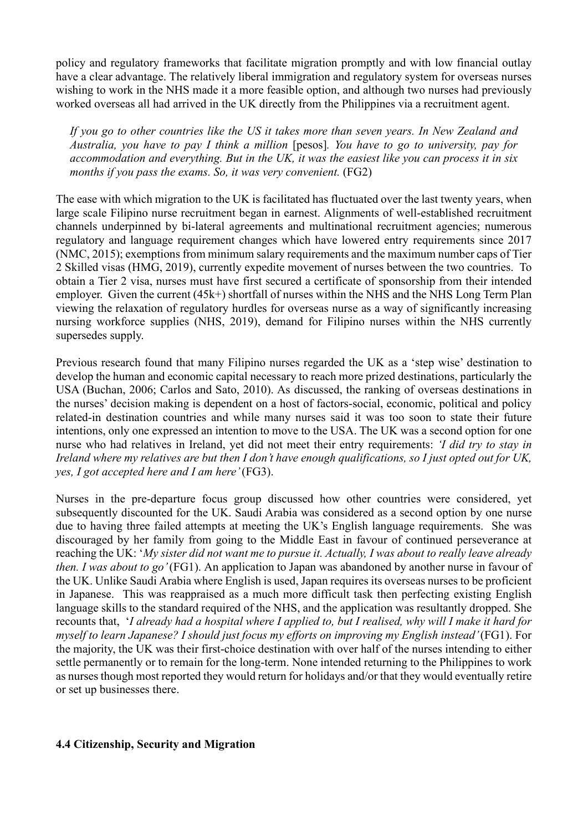policy and regulatory frameworks that facilitate migration promptly and with low financial outlay have a clear advantage. The relatively liberal immigration and regulatory system for overseas nurses wishing to work in the NHS made it a more feasible option, and although two nurses had previously worked overseas all had arrived in the UK directly from the Philippines via a recruitment agent.

*If you go to other countries like the US it takes more than seven years. In New Zealand and Australia, you have to pay I think a million* [pesos]*. You have to go to university, pay for accommodation and everything. But in the UK, it was the easiest like you can process it in six months if you pass the exams. So, it was very convenient.* (FG2)

The ease with which migration to the UK is facilitated has fluctuated over the last twenty years, when large scale Filipino nurse recruitment began in earnest. Alignments of well-established recruitment channels underpinned by bi-lateral agreements and multinational recruitment agencies; numerous regulatory and language requirement changes which have lowered entry requirements since 2017 (NMC, 2015); exemptions from minimum salary requirements and the maximum number caps of Tier 2 Skilled visas (HMG, 2019), currently expedite movement of nurses between the two countries. To obtain a Tier 2 visa, nurses must have first secured a certificate of sponsorship from their intended employer. Given the current (45k+) shortfall of nurses within the NHS and the NHS Long Term Plan viewing the relaxation of regulatory hurdles for overseas nurse as a way of significantly increasing nursing workforce supplies (NHS, 2019), demand for Filipino nurses within the NHS currently supersedes supply.

Previous research found that many Filipino nurses regarded the UK as a 'step wise' destination to develop the human and economic capital necessary to reach more prized destinations, particularly the USA (Buchan, 2006; Carlos and Sato, 2010). As discussed, the ranking of overseas destinations in the nurses' decision making is dependent on a host of factors-social, economic, political and policy related-in destination countries and while many nurses said it was too soon to state their future intentions, only one expressed an intention to move to the USA. The UK was a second option for one nurse who had relatives in Ireland, yet did not meet their entry requirements: *'I did try to stay in Ireland where my relatives are but then I don't have enough qualifications, so I just opted out for UK, yes, I got accepted here and I am here'* (FG3).

Nurses in the pre-departure focus group discussed how other countries were considered, yet subsequently discounted for the UK. Saudi Arabia was considered as a second option by one nurse due to having three failed attempts at meeting the UK's English language requirements. She was discouraged by her family from going to the Middle East in favour of continued perseverance at reaching the UK: '*My sister did not want me to pursue it. Actually, I was about to really leave already then. I was about to go'* (FG1). An application to Japan was abandoned by another nurse in favour of the UK. Unlike Saudi Arabia where English is used, Japan requires its overseas nurses to be proficient in Japanese. This was reappraised as a much more difficult task then perfecting existing English language skills to the standard required of the NHS, and the application was resultantly dropped. She recounts that, '*I already had a hospital where I applied to, but I realised, why will I make it hard for myself to learn Japanese? I should just focus my efforts on improving my English instead'* (FG1). For the majority, the UK was their first-choice destination with over half of the nurses intending to either settle permanently or to remain for the long-term. None intended returning to the Philippines to work as nurses though most reported they would return for holidays and/or that they would eventually retire or set up businesses there.

#### **4.4 Citizenship, Security and Migration**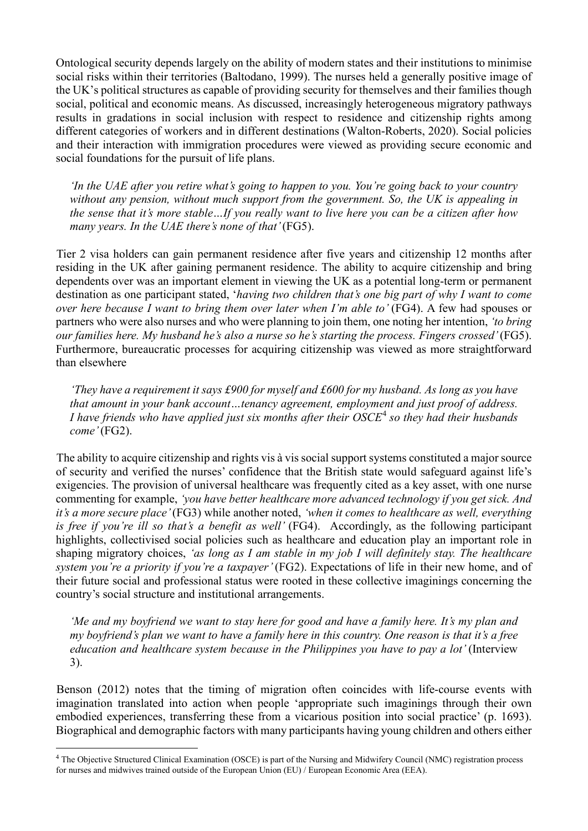Ontological security depends largely on the ability of modern states and their institutions to minimise social risks within their territories (Baltodano, 1999). The nurses held a generally positive image of the UK's political structures as capable of providing security for themselves and their families though social, political and economic means. As discussed, increasingly heterogeneous migratory pathways results in gradations in social inclusion with respect to residence and citizenship rights among different categories of workers and in different destinations (Walton-Roberts, 2020). Social policies and their interaction with immigration procedures were viewed as providing secure economic and social foundations for the pursuit of life plans.

*'In the UAE after you retire what's going to happen to you. You're going back to your country without any pension, without much support from the government. So, the UK is appealing in the sense that it's more stable…If you really want to live here you can be a citizen after how many years. In the UAE there's none of that'* (FG5).

Tier 2 visa holders can gain permanent residence after five years and citizenship 12 months after residing in the UK after gaining permanent residence. The ability to acquire citizenship and bring dependents over was an important element in viewing the UK as a potential long-term or permanent destination as one participant stated, '*having two children that's one big part of why I want to come over here because I want to bring them over later when I'm able to'* (FG4). A few had spouses or partners who were also nurses and who were planning to join them, one noting her intention, *'to bring our families here. My husband he's also a nurse so he's starting the process. Fingers crossed'* (FG5). Furthermore, bureaucratic processes for acquiring citizenship was viewed as more straightforward than elsewhere

*'They have a requirement it says £900 for myself and £600 for my husband. As long as you have that amount in your bank account…tenancy agreement, employment and just proof of address. I have friends who have applied just six months after their OSCE*[4](#page-9-0) *so they had their husbands come'* (FG2).

The ability to acquire citizenship and rights vis à vis social support systems constituted a major source of security and verified the nurses' confidence that the British state would safeguard against life's exigencies. The provision of universal healthcare was frequently cited as a key asset, with one nurse commenting for example, *'you have better healthcare more advanced technology if you get sick. And it's a more secure place'* (FG3) while another noted, *'when it comes to healthcare as well, everything is free if you're ill so that's a benefit as well'* (FG4). Accordingly, as the following participant highlights, collectivised social policies such as healthcare and education play an important role in shaping migratory choices, *'as long as I am stable in my job I will definitely stay. The healthcare system you're a priority if you're a taxpayer'* (FG2). Expectations of life in their new home, and of their future social and professional status were rooted in these collective imaginings concerning the country's social structure and institutional arrangements.

*'Me and my boyfriend we want to stay here for good and have a family here. It's my plan and my boyfriend's plan we want to have a family here in this country. One reason is that it's a free education and healthcare system because in the Philippines you have to pay a lot'* (Interview 3).

Benson (2012) notes that the timing of migration often coincides with life-course events with imagination translated into action when people 'appropriate such imaginings through their own embodied experiences, transferring these from a vicarious position into social practice' (p. 1693). Biographical and demographic factors with many participants having young children and others either

<span id="page-9-0"></span><sup>4</sup> The Objective Structured Clinical Examination (OSCE) is part of the Nursing and Midwifery Council (NMC) registration process for nurses and midwives trained outside of the European Union (EU) / European Economic Area (EEA).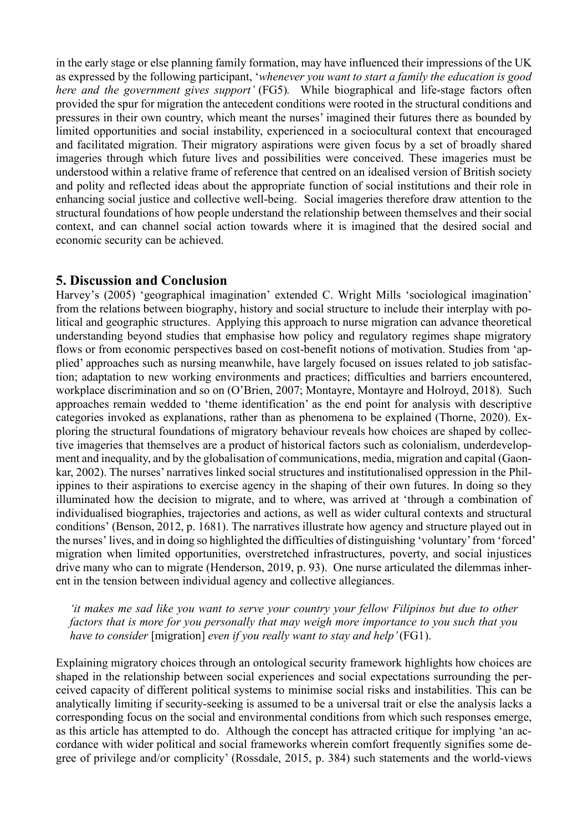in the early stage or else planning family formation, may have influenced their impressions of the UK as expressed by the following participant, '*whenever you want to start a family the education is good here and the government gives support'* (FG5)*.* While biographical and life-stage factors often provided the spur for migration the antecedent conditions were rooted in the structural conditions and pressures in their own country, which meant the nurses' imagined their futures there as bounded by limited opportunities and social instability, experienced in a sociocultural context that encouraged and facilitated migration. Their migratory aspirations were given focus by a set of broadly shared imageries through which future lives and possibilities were conceived. These imageries must be understood within a relative frame of reference that centred on an idealised version of British society and polity and reflected ideas about the appropriate function of social institutions and their role in enhancing social justice and collective well-being. Social imageries therefore draw attention to the structural foundations of how people understand the relationship between themselves and their social context, and can channel social action towards where it is imagined that the desired social and economic security can be achieved.

## **5. Discussion and Conclusion**

Harvey's (2005) 'geographical imagination' extended C. Wright Mills 'sociological imagination' from the relations between biography, history and social structure to include their interplay with political and geographic structures. Applying this approach to nurse migration can advance theoretical understanding beyond studies that emphasise how policy and regulatory regimes shape migratory flows or from economic perspectives based on cost-benefit notions of motivation. Studies from 'applied' approaches such as nursing meanwhile, have largely focused on issues related to job satisfaction; adaptation to new working environments and practices; difficulties and barriers encountered, workplace discrimination and so on (O'Brien, 2007; Montayre, Montayre and Holroyd, 2018). Such approaches remain wedded to 'theme identification' as the end point for analysis with descriptive categories invoked as explanations, rather than as phenomena to be explained (Thorne, 2020). Exploring the structural foundations of migratory behaviour reveals how choices are shaped by collective imageries that themselves are a product of historical factors such as colonialism, underdevelopment and inequality, and by the globalisation of communications, media, migration and capital (Gaonkar, 2002). The nurses' narratives linked social structures and institutionalised oppression in the Philippines to their aspirations to exercise agency in the shaping of their own futures. In doing so they illuminated how the decision to migrate, and to where, was arrived at 'through a combination of individualised biographies, trajectories and actions, as well as wider cultural contexts and structural conditions' (Benson, 2012, p. 1681). The narratives illustrate how agency and structure played out in the nurses' lives, and in doing so highlighted the difficulties of distinguishing 'voluntary' from 'forced' migration when limited opportunities, overstretched infrastructures, poverty, and social injustices drive many who can to migrate (Henderson, 2019, p. 93). One nurse articulated the dilemmas inherent in the tension between individual agency and collective allegiances.

*'it makes me sad like you want to serve your country your fellow Filipinos but due to other factors that is more for you personally that may weigh more importance to you such that you have to consider* [migration] *even if you really want to stay and help'* (FG1).

Explaining migratory choices through an ontological security framework highlights how choices are shaped in the relationship between social experiences and social expectations surrounding the perceived capacity of different political systems to minimise social risks and instabilities. This can be analytically limiting if security-seeking is assumed to be a universal trait or else the analysis lacks a corresponding focus on the social and environmental conditions from which such responses emerge, as this article has attempted to do. Although the concept has attracted critique for implying 'an accordance with wider political and social frameworks wherein comfort frequently signifies some degree of privilege and/or complicity' (Rossdale, 2015, p. 384) such statements and the world-views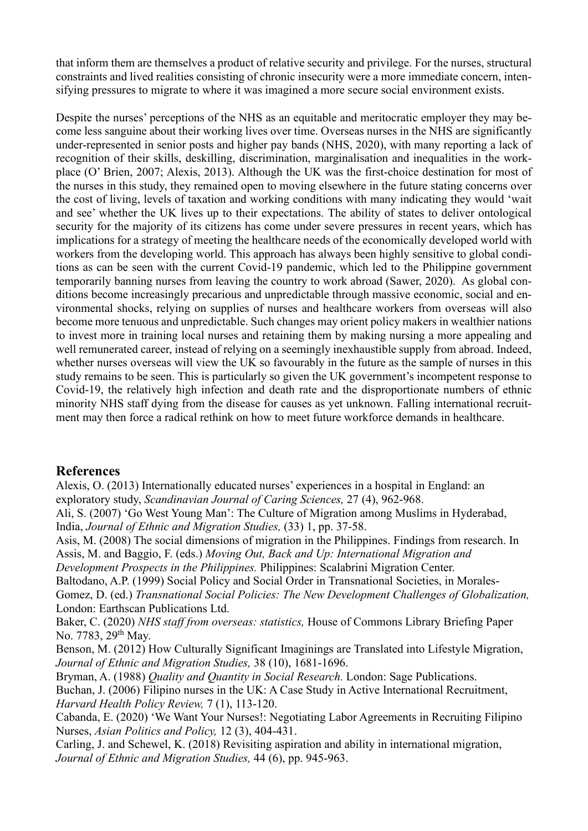that inform them are themselves a product of relative security and privilege. For the nurses, structural constraints and lived realities consisting of chronic insecurity were a more immediate concern, intensifying pressures to migrate to where it was imagined a more secure social environment exists.

Despite the nurses' perceptions of the NHS as an equitable and meritocratic employer they may become less sanguine about their working lives over time. Overseas nurses in the NHS are significantly under-represented in senior posts and higher pay bands (NHS, 2020), with many reporting a lack of recognition of their skills, deskilling, discrimination, marginalisation and inequalities in the workplace (O' Brien, 2007; Alexis, 2013). Although the UK was the first-choice destination for most of the nurses in this study, they remained open to moving elsewhere in the future stating concerns over the cost of living, levels of taxation and working conditions with many indicating they would 'wait and see' whether the UK lives up to their expectations. The ability of states to deliver ontological security for the majority of its citizens has come under severe pressures in recent years, which has implications for a strategy of meeting the healthcare needs of the economically developed world with workers from the developing world. This approach has always been highly sensitive to global conditions as can be seen with the current Covid-19 pandemic, which led to the Philippine government temporarily banning nurses from leaving the country to work abroad (Sawer, 2020). As global conditions become increasingly precarious and unpredictable through massive economic, social and environmental shocks, relying on supplies of nurses and healthcare workers from overseas will also become more tenuous and unpredictable. Such changes may orient policy makers in wealthier nations to invest more in training local nurses and retaining them by making nursing a more appealing and well remunerated career, instead of relying on a seemingly inexhaustible supply from abroad. Indeed, whether nurses overseas will view the UK so favourably in the future as the sample of nurses in this study remains to be seen. This is particularly so given the UK government's incompetent response to Covid-19, the relatively high infection and death rate and the disproportionate numbers of ethnic minority NHS staff dying from the disease for causes as yet unknown. Falling international recruitment may then force a radical rethink on how to meet future workforce demands in healthcare.

# **References**

Alexis, O. (2013) Internationally educated nurses' experiences in a hospital in England: an exploratory study, *Scandinavian Journal of Caring Sciences,* 27 (4), 962-968.

Ali, S. (2007) 'Go West Young Man': The Culture of Migration among Muslims in Hyderabad, India, *Journal of Ethnic and Migration Studies,* (33) 1, pp. 37-58.

Asis, M. (2008) The social dimensions of migration in the Philippines. Findings from research. In Assis, M. and Baggio, F. (eds.) *Moving Out, Back and Up: International Migration and Development Prospects in the Philippines.* Philippines: Scalabrini Migration Center.

Baltodano, A.P. (1999) Social Policy and Social Order in Transnational Societies, in Morales-Gomez, D. (ed.) *Transnational Social Policies: The New Development Challenges of Globalization,*  London: Earthscan Publications Ltd.

Baker, C. (2020) *NHS staff from overseas: statistics,* House of Commons Library Briefing Paper No. 7783, 29<sup>th</sup> May.

Benson, M. (2012) How Culturally Significant Imaginings are Translated into Lifestyle Migration, *Journal of Ethnic and Migration Studies,* 38 (10), 1681-1696.

Bryman, A. (1988) *Quality and Quantity in Social Research.* London: Sage Publications. Buchan, J. (2006) Filipino nurses in the UK: A Case Study in Active International Recruitment, *Harvard Health Policy Review,* 7 (1), 113-120.

Cabanda, E. (2020) 'We Want Your Nurses!: Negotiating Labor Agreements in Recruiting Filipino Nurses, *Asian Politics and Policy,* 12 (3), 404-431.

Carling, J. and Schewel, K. (2018) Revisiting aspiration and ability in international migration, *Journal of Ethnic and Migration Studies,* 44 (6), pp. 945-963.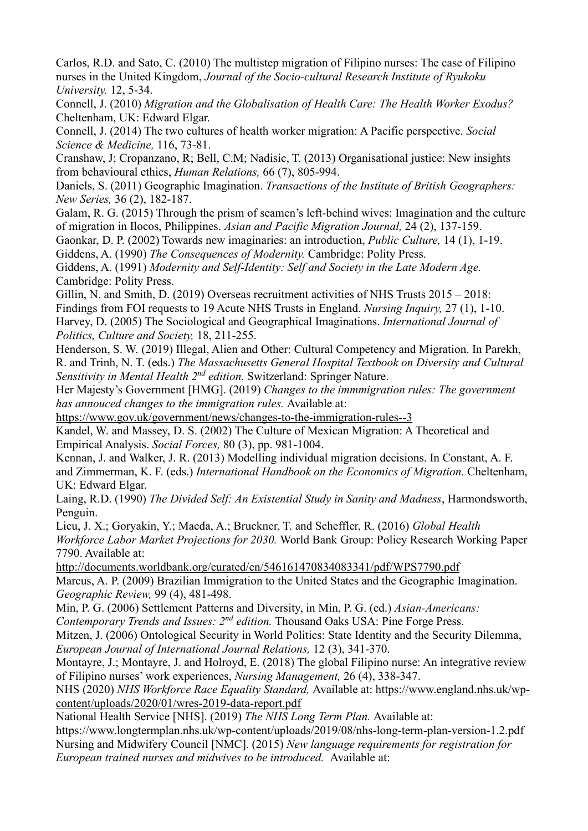Carlos, R.D. and Sato, C. (2010) The multistep migration of Filipino nurses: The case of Filipino nurses in the United Kingdom, *Journal of the Socio-cultural Research Institute of Ryukoku University.* 12, 5-34.

Connell, J. (2010) *Migration and the Globalisation of Health Care: The Health Worker Exodus?*  Cheltenham, UK: Edward Elgar.

Connell, J. (2014) The two cultures of health worker migration: A Pacific perspective. *Social Science & Medicine,* 116, 73-81.

Cranshaw, J; Cropanzano, R; Bell, C.M; Nadisic, T. (2013) Organisational justice: New insights from behavioural ethics, *Human Relations,* 66 (7), 805-994.

Daniels, S. (2011) Geographic Imagination. *Transactions of the Institute of British Geographers: New Series,* 36 (2), 182-187.

Galam, R. G. (2015) Through the prism of seamen's left-behind wives: Imagination and the culture of migration in Ilocos, Philippines. *Asian and Pacific Migration Journal,* 24 (2), 137-159.

Gaonkar, D. P. (2002) Towards new imaginaries: an introduction, *Public Culture,* 14 (1), 1-19.

Giddens, A. (1990) *The Consequences of Modernity.* Cambridge: Polity Press.

Giddens, A. (1991) *Modernity and Self-Identity: Self and Society in the Late Modern Age.*  Cambridge: Polity Press.

Gillin, N. and Smith, D. (2019) Overseas recruitment activities of NHS Trusts  $2015 - 2018$ : Findings from FOI requests to 19 Acute NHS Trusts in England. *Nursing Inquiry,* 27 (1), 1-10. Harvey, D. (2005) The Sociological and Geographical Imaginations. *International Journal of Politics, Culture and Society,* 18, 211-255.

Henderson, S. W. (2019) Illegal, Alien and Other: Cultural Competency and Migration. In Parekh, R. and Trinh, N. T. (eds.) *The Massachusetts General Hospital Textbook on Diversity and Cultural Sensitivity in Mental Health 2nd edition.* Switzerland: Springer Nature.

Her Majesty's Government [HMG]. (2019) *Changes to the immmigration rules: The government has annouced changes to the immigration rules.* Available at:

<https://www.gov.uk/government/news/changes-to-the-immigration-rules--3>

Kandel, W. and Massey, D. S. (2002) The Culture of Mexican Migration: A Theoretical and Empirical Analysis. *Social Forces,* 80 (3), pp. 981-1004.

Kennan, J. and Walker, J. R. (2013) Modelling individual migration decisions. In Constant, A. F. and Zimmerman, K. F. (eds.) *International Handbook on the Economics of Migration.* Cheltenham, UK: Edward Elgar.

Laing, R.D. (1990) *The Divided Self: An Existential Study in Sanity and Madness*, Harmondsworth, Penguin.

Lieu, J. X.; Goryakin, Y.; Maeda, A.; Bruckner, T. and Scheffler, R. (2016) *Global Health Workforce Labor Market Projections for 2030.* World Bank Group: Policy Research Working Paper 7790. Available at:

<http://documents.worldbank.org/curated/en/546161470834083341/pdf/WPS7790.pdf> Marcus, A. P. (2009) Brazilian Immigration to the United States and the Geographic Imagination. *Geographic Review,* 99 (4), 481-498.

Min, P. G. (2006) Settlement Patterns and Diversity, in Min, P. G. (ed.) *Asian-Americans:* 

*Contemporary Trends and Issues: 2nd edition.* Thousand Oaks USA: Pine Forge Press.

Mitzen, J. (2006) Ontological Security in World Politics: State Identity and the Security Dilemma, *European Journal of International Journal Relations,* 12 (3), 341-370.

Montayre, J.; Montayre, J. and Holroyd, E. (2018) The global Filipino nurse: An integrative review of Filipino nurses' work experiences, *Nursing Management,* 26 (4), 338-347.

NHS (2020) *NHS Workforce Race Equality Standard,* Available at: [https://www.england.nhs.uk/wp](https://www.england.nhs.uk/wp-content/uploads/2020/01/wres-2019-data-report.pdf)[content/uploads/2020/01/wres-2019-data-report.pdf](https://www.england.nhs.uk/wp-content/uploads/2020/01/wres-2019-data-report.pdf)

National Health Service [NHS]. (2019) *The NHS Long Term Plan.* Available at:

<https://www.longtermplan.nhs.uk/wp-content/uploads/2019/08/nhs-long-term-plan-version-1.2.pdf> Nursing and Midwifery Council [NMC]. (2015) *New language requirements for registration for European trained nurses and midwives to be introduced.* Available at: